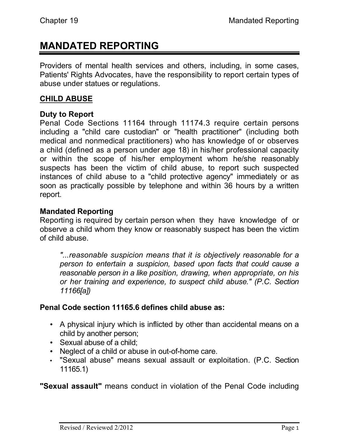# **MANDATED REPORTING**

Providers of mental health services and others, including, in some cases, Patients' Rights Advocates, have the responsibility to report certain types of abuse under statues or regulations.

#### **CHILD ABUSE**

#### **Duty to Report**

Penal Code Sections 11164 through 11174.3 require certain persons including a "child care custodian" or "health practitioner" (including both medical and nonmedical practitioners) who has knowledge of or observes a child (defined as a person under age 18) in his/her professional capacity or within the scope of his/her employment whom he/she reasonably suspects has been the victim of child abuse, to report such suspected instances of child abuse to a "child protective agency" immediately or as soon as practically possible by telephone and within 36 hours by a written report.

#### **Mandated Reporting**

Reporting is required by certain person when they have knowledge of or observe a child whom they know or reasonably suspect has been the victim of child abuse.

*"...reasonable suspicion means that it is objectively reasonable for a person to entertain a suspicion, based upon facts that could cause a reasonable person in a like position, drawing, when appropriate, on his or her training and experience, to suspect child abuse." (P.C. Section 11166[a])*

## **Penal Code section 11165.6 defines child abuse as:**

- A physical injury which is inflicted by other than accidental means on a child by another person;
- Sexual abuse of a child;
- Neglect of a child or abuse in out-of-home care.
- "Sexual abuse" means sexual assault or exploitation. (P.C. Section 11165.1)

**"Sexual assault"** means conduct in violation of the Penal Code including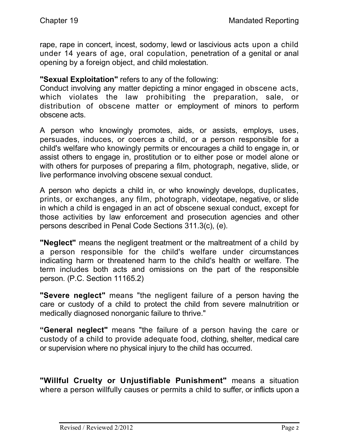rape, rape in concert, incest, sodomy, lewd or lascivious acts upon a child under 14 years of age, oral copulation, penetration of a genital or anal opening by a foreign object, and child molestation.

**"Sexual Exploitation"** refers to any of the following:

Conduct involving any matter depicting a minor engaged in obscene acts, which violates the law prohibiting the preparation, sale, or distribution of obscene matter or employment of minors to perform obscene acts.

A person who knowingly promotes, aids, or assists, employs, uses, persuades, induces, or coerces a child, or a person responsible for a child's welfare who knowingly permits or encourages a child to engage in, or assist others to engage in, prostitution or to either pose or model alone or with others for purposes of preparing a film, photograph, negative, slide, or live performance involving obscene sexual conduct.

A person who depicts a child in, or who knowingly develops, duplicates, prints, or exchanges, any film, photograph, videotape, negative, or slide in which a child is engaged in an act of obscene sexual conduct, except for those activities by law enforcement and prosecution agencies and other persons described in Penal Code Sections 311.3(c), (e).

**"Neglect"** means the negligent treatment or the maltreatment of a child by a person responsible for the child's welfare under circumstances indicating harm or threatened harm to the child's health or welfare. The term includes both acts and omissions on the part of the responsible person. (P.C. Section 11165.2)

**"Severe neglect"** means "the negligent failure of a person having the care or custody of a child to protect the child from severe malnutrition or medically diagnosed nonorganic failure to thrive."

**"General neglect"** means "the failure of a person having the care or custody of a child to provide adequate food, clothing, shelter, medical care or supervision where no physical injury to the child has occurred.

**"Willful Cruelty or Unjustifiable Punishment"** means a situation where a person willfully causes or permits a child to suffer, or inflicts upon a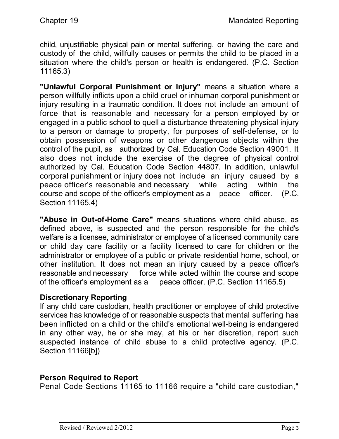child, unjustifiable physical pain or mental suffering, or having the care and custody of the child, willfully causes or permits the child to be placed in a situation where the child's person or health is endangered. (P.C. Section 11165.3)

**"Unlawful Corporal Punishment or Injury"** means a situation where a person willfully inflicts upon a child cruel or inhuman corporal punishment or injury resulting in a traumatic condition. It does not include an amount of force that is reasonable and necessary for a person employed by or engaged in a public school to quell a disturbance threatening physical injury to a person or damage to property, for purposes of self-defense, or to obtain possession of weapons or other dangerous objects within the control of the pupil, as authorized by Cal. Education Code Section 49001. It also does not include the exercise of the degree of physical control authorized by Cal. Education Code Section 44807. In addition, unlawful corporal punishment or injury does not include an injury caused by a peace officer's reasonable and necessary while acting within the course and scope of the officer's employment as a peace officer. (P.C. Section 11165.4)

**"Abuse in Out-of-Home Care"** means situations where child abuse, as defined above, is suspected and the person responsible for the child's welfare is a licensee, administrator or employee of a licensed community care or child day care facility or a facility licensed to care for children or the administrator or employee of a public or private residential home, school, or other institution. It does not mean an injury caused by a peace officer's reasonable and necessary force while acted within the course and scope of the officer's employment as a peace officer. (P.C. Section 11165.5)

## **Discretionary Reporting**

If any child care custodian, health practitioner or employee of child protective services has knowledge of or reasonable suspects that mental suffering has been inflicted on a child or the child's emotional well-being is endangered in any other way, he or she may, at his or her discretion, report such suspected instance of child abuse to a child protective agency. (P.C. Section 11166[b])

## **Person Required to Report**

Penal Code Sections 11165 to 11166 require a "child care custodian,"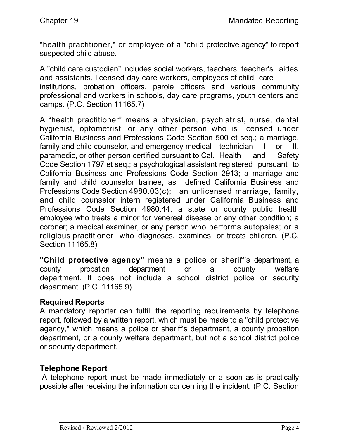"health practitioner," or employee of a "child protective agency" to report suspected child abuse.

A "child care custodian" includes social workers, teachers, teacher's aides and assistants, licensed day care workers, employees of child care institutions, probation officers, parole officers and various community professional and workers in schools, day care programs, youth centers and camps. (P.C. Section 11165.7)

A "health practitioner" means a physician, psychiatrist, nurse, dental hygienist, optometrist, or any other person who is licensed under California Business and Professions Code Section 500 et seq.; a marriage, family and child counselor, and emergency medical technician I or II, paramedic, or other person certified pursuant to Cal. Health and Safety Code Section 1797 et seq.; a psychological assistant registered pursuant to California Business and Professions Code Section 2913; a marriage and family and child counselor trainee, as defined California Business and Professions Code Section 4980.03(c); an unlicensed marriage, family, and child counselor intern registered under California Business and Professions Code Section 4980.44; a state or county public health employee who treats a minor for venereal disease or any other condition; a coroner; a medical examiner, or any person who performs autopsies; or a religious practitioner who diagnoses, examines, or treats children. (P.C. Section 11165.8)

**"Child protective agency"** means a police or sheriff's department, a county probation department or a county welfare department. It does not include a school district police or security department. (P.C. 11165.9)

#### **Required Reports**

A mandatory reporter can fulfill the reporting requirements by telephone report, followed by a written report, which must be made to a "child protective agency," which means a police or sheriff's department, a county probation department, or a county welfare department, but not a school district police or security department.

## **Telephone Report**

A telephone report must be made immediately or a soon as is practically possible after receiving the information concerning the incident. (P.C. Section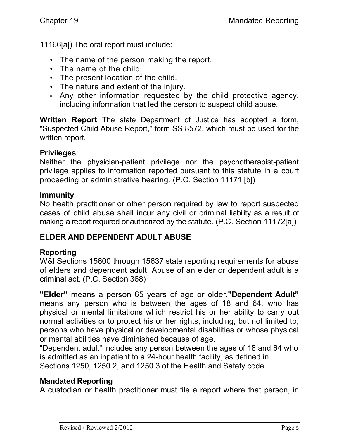11166[a]) The oral report must include:

- The name of the person making the report.
- The name of the child.
- The present location of the child.
- The nature and extent of the injury.
- Any other information requested by the child protective agency, including information that led the person to suspect child abuse.

**Written Report** The state Department of Justice has adopted a form, "Suspected Child Abuse Report," form SS 8572, which must be used for the written report.

## **Privileges**

Neither the physician-patient privilege nor the psychotherapist-patient privilege applies to information reported pursuant to this statute in a court proceeding or administrative hearing. (P.C. Section 11171 [b])

### **Immunity**

No health practitioner or other person required by law to report suspected cases of child abuse shall incur any civil or criminal liability as a result of making a report required or authorized by the statute. (P.C. Section 11172[a])

# **ELDER AND DEPENDENT ADULT ABUSE**

# **Reporting**

W&I Sections 15600 through 15637 state reporting requirements for abuse of elders and dependent adult. Abuse of an elder or dependent adult is a criminal act. (P.C. Section 368)

**"Elder"** means a person 65 years of age or older.**"Dependent Adult"** means any person who is between the ages of 18 and 64, who has physical or mental limitations which restrict his or her ability to carry out normal activities or to protect his or her rights, including, but not limited to, persons who have physical or developmental disabilities or whose physical or mental abilities have diminished because of age.

"Dependent adult" includes any person between the ages of 18 and 64 who is admitted as an inpatient to a 24-hour health facility, as defined in Sections 1250, 1250.2, and 1250.3 of the Health and Safety code.

# **Mandated Reporting**

A custodian or health practitioner must file a report where that person, in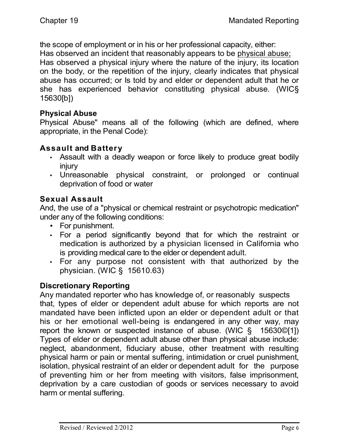the scope of employment or in his or her professional capacity, either: Has observed an incident that reasonably appears to be physical abuse;

Has observed a physical injury where the nature of the injury, its location on the body, or the repetition of the injury, clearly indicates that physical abuse has occurred; or Is told by and elder or dependent adult that he or she has experienced behavior constituting physical abuse. (WIC§ 15630[b])

## **Physical Abuse**

Physical Abuse" means all of the following (which are defined, where appropriate, in the Penal Code):

## **Assault and Battery**

- Assault with a deadly weapon or force likely to produce great bodily injury
- Unreasonable physical constraint, or prolonged or continual deprivation of food or water

# **Sexual Assault**

And, the use of a "physical or chemical restraint or psychotropic medication" under any of the following conditions:

- For punishment.
- For a period significantly beyond that for which the restraint or medication is authorized by a physician licensed in California who is providing medical care to the elder or dependent adult.
- For any purpose not consistent with that authorized by the physician. (WIC § 15610.63)

# **Discretionary Reporting**

Any mandated reporter who has knowledge of, or reasonably suspects that, types of elder or dependent adult abuse for which reports are not mandated have been inflicted upon an elder or dependent adult or that his or her emotional well-being is endangered in any other way, may report the known or suspected instance of abuse. (WIC § 15630©[1]) Types of elder or dependent adult abuse other than physical abuse include: neglect, abandonment, fiduciary abuse, other treatment with resulting physical harm or pain or mental suffering, intimidation or cruel punishment, isolation, physical restraint of an elder or dependent adult for the purpose of preventing him or her from meeting with visitors, false imprisonment, deprivation by a care custodian of goods or services necessary to avoid harm or mental suffering.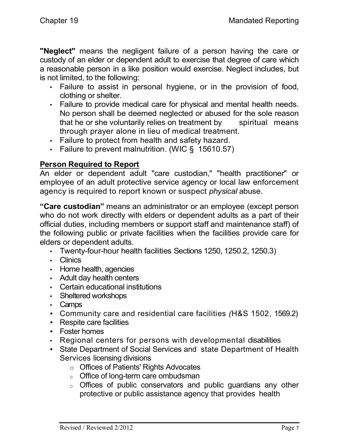**"Neglect"** means the negligent failure of a person having the care or custody of an elder or dependent adult to exercise that degree of care which a reasonable person in a like position would exercise. Neglect includes, but is not limited, to the following:

- Failure to assist in personal hygiene, or in the provision of food, clothing or shelter.
- Failure to provide medical care for physical and mental health needs. No person shall be deemed neglected or abused for the sole reason that he or she voluntarily relies on treatment by spiritual means through prayer alone in lieu of medical treatment.
- Failure to protect from health and safety hazard.
- Failure to prevent malnutrition. (WIC § 15610.57)

## **Person Required to Report**

An elder or dependent adult "care custodian," "health practitioner" or employee of an adult protective service agency or local law enforcement agency is required to report known or suspect *physical* abuse.

**"Care custodian"** means an administrator or an employee (except person who do not work directly with elders or dependent adults as a part of their official duties, including members or support staff and maintenance staff) of the following public or private facilities when the facilities provide care for elders or dependent adults.

- Twenty-four-hour health facilities Sections 1250, 1250.2, 1250.3)
- Clinics
- Home health, agencies
- Adult day health centers
- Certain educational institutions
- Sheltered workshops
- Camps
- Community care and residential care facilities *(*H&S 1502, 1569.2)
- Respite care facilities
- Foster homes
- Regional centers for persons with developmental disabilities
- State Department of Social Services and state Department of Health Services licensing divisions
	- o Offices of Patients' Rights Advocates
	- o Office of long-term care ombudsman
	- o Offices of public conservators and public guardians any other protective or public assistance agency that provides health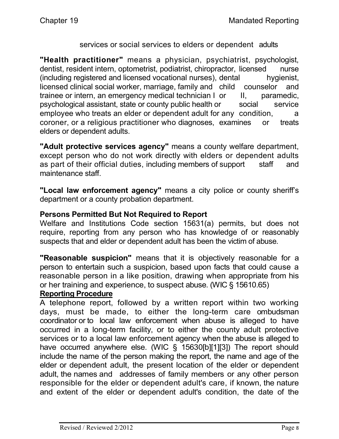#### services or social services to elders or dependent adults

**"Health practitioner"** means a physician, psychiatrist, psychologist, dentist, resident intern, optometrist, podiatrist, chiropractor, licensed nurse (including registered and licensed vocational nurses), dental hygienist, licensed clinical social worker, marriage, family and child counselor and trainee or intern, an emergency medical technician I or II, paramedic, psychological assistant, state or county public health or social service employee who treats an elder or dependent adult for any condition, a coroner, or a religious practitioner who diagnoses, examines or treats elders or dependent adults.

**"Adult protective services agency"** means a county welfare department, except person who do not work directly with elders or dependent adults as part of their official duties, including members of support staff and maintenance staff.

**"Local law enforcement agency"** means a city police or county sheriff's department or a county probation department.

### **Persons Permitted But Not Required to Report**

Welfare and Institutions Code section 15631(a) permits, but does not require, reporting from any person who has knowledge of or reasonably suspects that and elder or dependent adult has been the victim of abuse.

**"Reasonable suspicion"** means that it is objectively reasonable for a person to entertain such a suspicion, based upon facts that could cause a reasonable person in a like position, drawing when appropriate from his or her training and experience, to suspect abuse. (WIC § 15610.65)

### **Reporting Procedure**

A telephone report, followed by a written report within two working days, must be made, to either the long-term care ombudsman coordinator or to local law enforcement when abuse is alleged to have occurred in a long-term facility, or to either the county adult protective services or to a local law enforcement agency when the abuse is alleged to have occurred anywhere else. (WIC § 15630[b][1][3]) The report should include the name of the person making the report, the name and age of the elder or dependent adult, the present location of the elder or dependent adult, the names and addresses of family members or any other person responsible for the elder or dependent adult's care, if known, the nature and extent of the elder or dependent adult's condition, the date of the